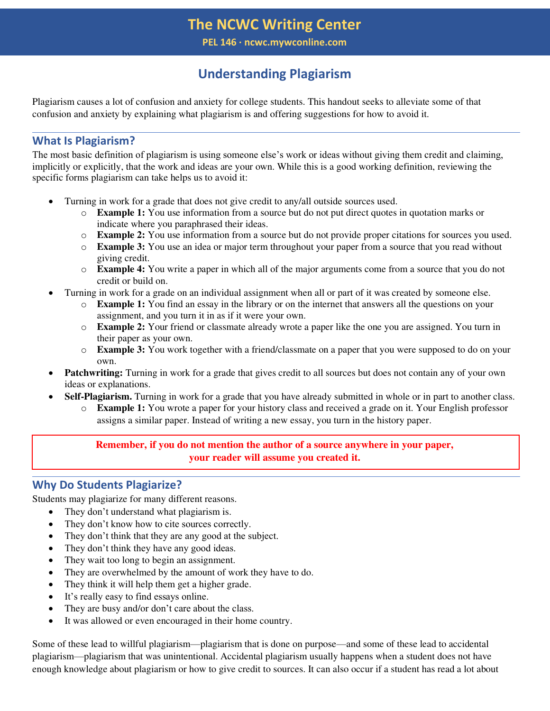# **The NCWC Writing Center**

**PEL 146 ∙ ncwc.mywconline.com**

# **Understanding Plagiarism**

Plagiarism causes a lot of confusion and anxiety for college students. This handout seeks to alleviate some of that confusion and anxiety by explaining what plagiarism is and offering suggestions for how to avoid it.

## **What Is Plagiarism?**

The most basic definition of plagiarism is using someone else's work or ideas without giving them credit and claiming, implicitly or explicitly, that the work and ideas are your own. While this is a good working definition, reviewing the specific forms plagiarism can take helps us to avoid it:

- Turning in work for a grade that does not give credit to any/all outside sources used.
	- o **Example 1:** You use information from a source but do not put direct quotes in quotation marks or indicate where you paraphrased their ideas.
	- o **Example 2:** You use information from a source but do not provide proper citations for sources you used.
	- o **Example 3:** You use an idea or major term throughout your paper from a source that you read without giving credit.
	- o **Example 4:** You write a paper in which all of the major arguments come from a source that you do not credit or build on.
	- Turning in work for a grade on an individual assignment when all or part of it was created by someone else.
		- o **Example 1:** You find an essay in the library or on the internet that answers all the questions on your assignment, and you turn it in as if it were your own.
		- o **Example 2:** Your friend or classmate already wrote a paper like the one you are assigned. You turn in their paper as your own.
		- o **Example 3:** You work together with a friend/classmate on a paper that you were supposed to do on your own.
- **Patchwriting:** Turning in work for a grade that gives credit to all sources but does not contain any of your own ideas or explanations.
- **Self-Plagiarism.** Turning in work for a grade that you have already submitted in whole or in part to another class.
	- o **Example 1:** You wrote a paper for your history class and received a grade on it. Your English professor assigns a similar paper. Instead of writing a new essay, you turn in the history paper.

**Remember, if you do not mention the author of a source anywhere in your paper, your reader will assume you created it.** 

## **Why Do Students Plagiarize?**

Students may plagiarize for many different reasons.

- They don't understand what plagiarism is.
- They don't know how to cite sources correctly.
- They don't think that they are any good at the subject.
- They don't think they have any good ideas.
- They wait too long to begin an assignment.
- They are overwhelmed by the amount of work they have to do.
- They think it will help them get a higher grade.
- It's really easy to find essays online.
- They are busy and/or don't care about the class.
- It was allowed or even encouraged in their home country.

Some of these lead to willful plagiarism—plagiarism that is done on purpose—and some of these lead to accidental plagiarism—plagiarism that was unintentional. Accidental plagiarism usually happens when a student does not have enough knowledge about plagiarism or how to give credit to sources. It can also occur if a student has read a lot about